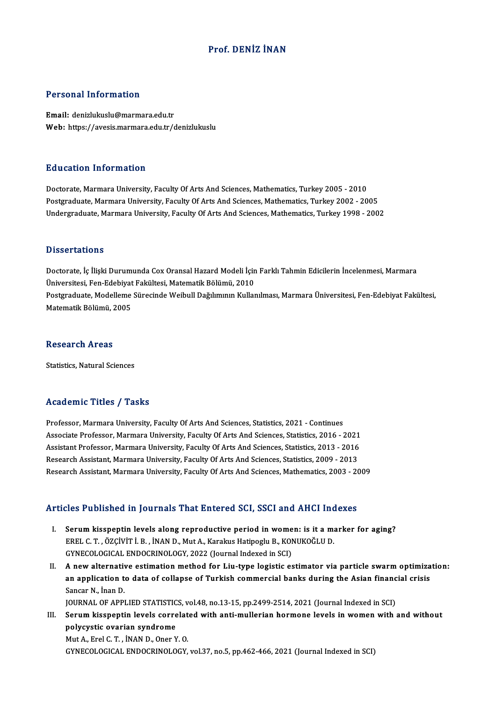## Prof. DENİZ İNAN

#### Personal Information

Email: denizlukuslu@marmara.edu.tr Web: https://avesis.marmara.edu.tr/denizlukuslu

#### Education Information

Doctorate, Marmara University, Faculty Of Arts And Sciences, Mathematics, Turkey 2005 - 2010 Postgraduate, Marmara University, Faculty Of Arts And Sciences, Mathematics, Turkey 2002 - 2005 Undergraduate, Marmara University, Faculty Of Arts And Sciences, Mathematics, Turkey 1998 - 2002

#### **Dissertations**

Dissertations<br>Doctorate, İç İlişki Durumunda Cox Oransal Hazard Modeli İçin Farklı Tahmin Edicilerin İncelenmesi, Marmara<br>Üniversitesi, Fan Edebiyat Fakültesi, Matematik Pölümü, 2010 D'issor tatroms<br>Doctorate, İç İlişki Durumunda Cox Oransal Hazard Modeli İçin<br>Üniversitesi, Fen-Edebiyat Fakültesi, Matematik Bölümü, 2010<br>Postsyaduata Modellama Sünesinde Weibull Dağılımının Kullar Doctorate, İç İlişki Durumunda Cox Oransal Hazard Modeli İçin Farklı Tahmin Edicilerin İncelenmesi, Marmara<br>Üniversitesi, Fen-Edebiyat Fakültesi, Matematik Bölümü, 2010<br>Postgraduate, Modelleme Sürecinde Weibull Dağılımının Üniversitesi, Fen-Edebiyat<br>Postgraduate, Modelleme<br>Matematik Bölümü, 2005 Matematik Bölümü, 2005<br>Research Areas

Statistics, Natural Sciences

#### Academic Titles / Tasks

Academic Titles / Tasks<br>Professor, Marmara University, Faculty Of Arts And Sciences, Statistics, 2021 - Continues<br>Associate Professor, Marmara University, Faculty Of Arts And Sciences, Statistics, 2016 Associate Article 7 Tubate<br>Professor, Marmara University, Faculty Of Arts And Sciences, Statistics, 2021 - Continues<br>Associate Professor, Marmara University, Faculty Of Arts And Sciences, Statistics, 2016 - 2021<br>Assistant Professor, Marmara University, Faculty Of Arts And Sciences, Statistics, 2021 - Continues<br>Associate Professor, Marmara University, Faculty Of Arts And Sciences, Statistics, 2016 - 2021<br>Assistant Professor, Marmara Universi Associate Professor, Marmara University, Faculty Of Arts And Sciences, Statistics, 2016 - 2021<br>Assistant Professor, Marmara University, Faculty Of Arts And Sciences, Statistics, 2013 - 2016<br>Research Assistant, Marmara Univ Assistant Professor, Marmara University, Faculty Of Arts And Sciences, Statistics, 2013 - 2016<br>Research Assistant, Marmara University, Faculty Of Arts And Sciences, Statistics, 2009 - 2013<br>Research Assistant, Marmara Unive Research Assistant, Marmara University, Faculty Of Arts And Sciences, Mathematics, 2003 - 2009<br>Articles Published in Journals That Entered SCI, SSCI and AHCI Indexes

- I. Serum kisspeptin levels along reproductive period in women: is it a marker for aging? SEC I ABIBILIA III JOATIMIB TIME ENECI CA BOI, BOOT ANATINGI III<br>EREL C. T. , ÖZÇİVİT İ. B. , İNAN D., Mut A., Karakus Hatipoglu B., KONUKOĞLU D.<br>CYNECOLOGICAL ENDOCEJNOLOGY 2022 (Journal Indoved in SCL) Serum kisspeptin levels along reproductive period in wome<br>EREL C. T., ÖZÇİVİT İ. B., İNAN D., Mut A., Karakus Hatipoglu B., KOI<br>GYNECOLOGICAL ENDOCRINOLOGY, 2022 (Journal Indexed in SCI)<br>A now alternative estimation mathod GYNECOLOGICAL ENDOCRINOLOGY, 2022 (Journal Indexed in SCI)<br>II. A new alternative estimation method for Liu-type logistic estimator via particle swarm optimization:
- GYNECOLOGICAL ENDOCRINOLOGY, 2022 (Journal Indexed in SCI)<br>A new alternative estimation method for Liu-type logistic estimator via particle swarm optimiza<br>an application to data of collapse of Turkish commercial banks duri **A new alternativ<br>an application t<br>Sancar N., İnan D.<br>JOUPNAL OF APPI** an application to data of collapse of Turkish commercial banks during the Asian financ<br>Sancar N., İnan D.<br>JOURNAL OF APPLIED STATISTICS, vol.48, no.13-15, pp.2499-2514, 2021 (Journal Indexed in SCI)<br>Serum kisspontin levels

Sancar N., İnan D.<br>I I. Serum kisspeptin levels correlated with anti-mullerian hormone levels in women with and without<br>III. Serum kisspeptin levels correlated with anti-mullerian hormone levels in women with and without<br>n JOURNAL OF APPLIED STATISTICS, vol.48, no.13-15, pp.2499-2514, 2021 (Journal Indexed in SCI)<br>Serum kisspeptin levels correlated with anti-mullerian hormone levels in women with<br>polycystic ovarian syndrome<br>Mut A., Erel C. T Serum kisspeptin levels correlat<br>polycystic ovarian syndrome<br>Mut A., Erel C.T. , İNAN D., Oner Y. O.<br>CYNECOLOCICAL ENDOCRINOLOCY

GYNECOLOGICAL ENDOCRINOLOGY,vol.37,no.5,pp.462-466,2021 (Journal Indexed inSCI)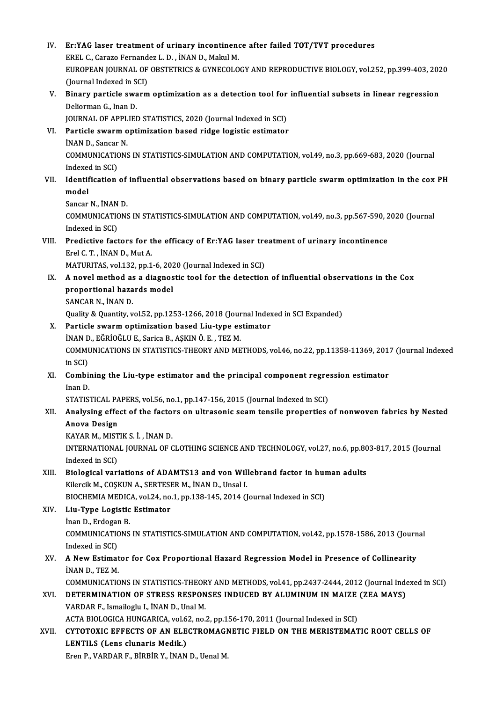| IV.   | Er:YAG laser treatment of urinary incontinence after failed TOT/TVT procedures                        |
|-------|-------------------------------------------------------------------------------------------------------|
|       | EREL C., Carazo Fernandez L. D., İNAN D., Makul M.                                                    |
|       | EUROPEAN JOURNAL OF OBSTETRICS & GYNECOLOGY AND REPRODUCTIVE BIOLOGY, vol.252, pp.399-403, 2020       |
|       | (Journal Indexed in SCI)                                                                              |
| V.    | Binary particle swarm optimization as a detection tool for influential subsets in linear regression   |
|       | Deliorman G., Inan D.                                                                                 |
|       | JOURNAL OF APPLIED STATISTICS, 2020 (Journal Indexed in SCI)                                          |
| VI.   | Particle swarm optimization based ridge logistic estimator                                            |
|       | İNAN D., Sancar N.                                                                                    |
|       | COMMUNICATIONS IN STATISTICS-SIMULATION AND COMPUTATION, vol.49, no.3, pp.669-683, 2020 (Journal      |
|       | Indexed in SCI)                                                                                       |
| VII.  | Identification of influential observations based on binary particle swarm optimization in the cox PH  |
|       | model                                                                                                 |
|       | Sancar N., İNAN D.                                                                                    |
|       | COMMUNICATIONS IN STATISTICS-SIMULATION AND COMPUTATION, vol.49, no.3, pp.567-590, 2020 (Journal      |
|       | Indexed in SCI)                                                                                       |
| VIII. | Predictive factors for the efficacy of Er:YAG laser treatment of urinary incontinence                 |
|       | Erel C. T., İNAN D., Mut A.                                                                           |
|       | MATURITAS, vol.132, pp.1-6, 2020 (Journal Indexed in SCI)                                             |
| IX.   | A novel method as a diagnostic tool for the detection of influential observations in the Cox          |
|       | proportional hazards model                                                                            |
|       | SANCAR N., İNAN D.                                                                                    |
|       | Quality & Quantity, vol.52, pp.1253-1266, 2018 (Journal Indexed in SCI Expanded)                      |
| X.    | Particle swarm optimization based Liu-type estimator                                                  |
|       | İNAN D., EĞRİOĞLU E., Sarica B., AŞKIN Ö. E., TEZ M.                                                  |
|       | COMMUNICATIONS IN STATISTICS-THEORY AND METHODS, vol.46, no.22, pp.11358-11369, 2017 (Journal Indexed |
|       | in SCI)                                                                                               |
| XI.   | Combining the Liu-type estimator and the principal component regression estimator                     |
|       | Inan D.                                                                                               |
|       | STATISTICAL PAPERS, vol.56, no.1, pp.147-156, 2015 (Journal Indexed in SCI)                           |
| XII.  | Analysing effect of the factors on ultrasonic seam tensile properties of nonwoven fabrics by Nested   |
|       | Anova Design                                                                                          |
|       | KAYAR M, MISTIK S İ, İNAN D.                                                                          |
|       | INTERNATIONAL JOURNAL OF CLOTHING SCIENCE AND TECHNOLOGY, vol.27, no.6, pp.803-817, 2015 (Journal     |
|       | Indexed in SCI)                                                                                       |
| XIII. | Biological variations of ADAMTS13 and von Willebrand factor in human adults                           |
|       | Kilercik M., COȘKUN A., SERTESER M., İNAN D., Unsal I.                                                |
| XIV.  | BIOCHEMIA MEDICA, vol.24, no.1, pp.138-145, 2014 (Journal Indexed in SCI)                             |
|       | Liu-Type Logistic Estimator<br>Inan D., Erdogan B.                                                    |
|       | COMMUNICATIONS IN STATISTICS-SIMULATION AND COMPUTATION, vol.42, pp.1578-1586, 2013 (Journal          |
|       | Indexed in SCI)                                                                                       |
| XV.   | A New Estimator for Cox Proportional Hazard Regression Model in Presence of Collinearity              |
|       | INAN D., TEZ M.                                                                                       |
|       | COMMUNICATIONS IN STATISTICS-THEORY AND METHODS, vol.41, pp.2437-2444, 2012 (Journal Indexed in SCI)  |
| XVI.  | DETERMINATION OF STRESS RESPONSES INDUCED BY ALUMINUM IN MAIZE (ZEA MAYS)                             |
|       | VARDAR F., Ismailoglu I., İNAN D., Unal M.                                                            |
|       | ACTA BIOLOGICA HUNGARICA, vol.62, no.2, pp.156-170, 2011 (Journal Indexed in SCI)                     |
| XVII. | CYTOTOXIC EFFECTS OF AN ELECTROMAGNETIC FIELD ON THE MERISTEMATIC ROOT CELLS OF                       |
|       | LENTILS (Lens clunaris Medik.)                                                                        |
|       | Eren P., VARDAR F., BİRBİR Y., İNAN D., Uenal M.                                                      |
|       |                                                                                                       |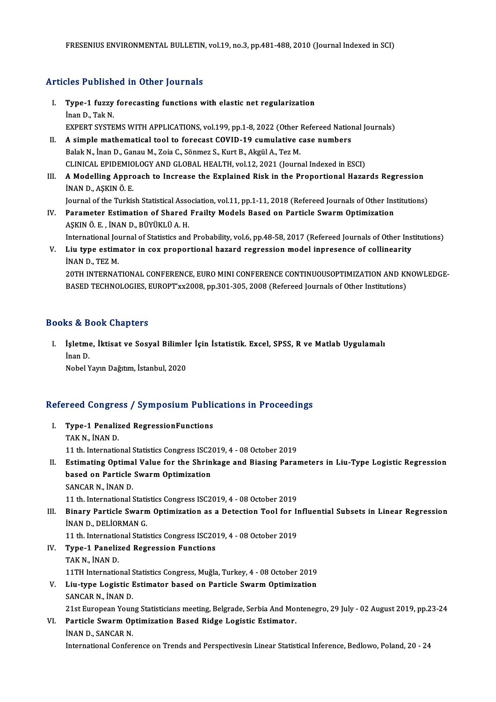## Articles Published in Other Journals

- rticles Published in Other Journals<br>I. Type-1 fuzzy forecasting functions with elastic net regularization<br>than D. Tak N. Type-1 fuzzy<br>Type-1 fuzzy<br>İnan D., Tak N.<br>EXPEPT SYSTE Type-1 fuzzy forecasting functions with elastic net regularization<br>Inan D., Tak N.<br>EXPERT SYSTEMS WITH APPLICATIONS, vol.199, pp.1-8, 2022 (Other Refereed National Journals)<br>A simple mathematical tool to forecast COVID 19 Inan D., Tak N.<br>EXPERT SYSTEMS WITH APPLICATIONS, vol.199, pp.1-8, 2022 (Other Refereed Nation<br>II. A simple mathematical tool to forecast COVID-19 cumulative case numbers<br>Ralak N. Inan D. Canau M. Zaja C. Sänmar S. Kurt B.
- EXPERT SYSTEMS WITH APPLICATIONS, vol.199, pp.1-8, 2022 (Other 1<br>A simple mathematical tool to forecast COVID-19 cumulative c<br>Balak N., İnan D., Ganau M., Zoia C., Sönmez S., Kurt B., Akgül A., Tez M.<br>CUNICAL ERIDEMIOLOCY II. A simple mathematical tool to forecast COVID-19 cumulative case numbers<br>Balak N., İnan D., Ganau M., Zoia C., Sönmez S., Kurt B., Akgül A., Tez M.<br>CLINICAL EPIDEMIOLOGY AND GLOBAL HEALTH, vol.12, 2021 (Journal Indexed Balak N., İnan D., Ganau M., Zoia C., Sönmez S., Kurt B., Akgül A., Tez M.<br>CLINICAL EPIDEMIOLOGY AND GLOBAL HEALTH, vol.12, 2021 (Journal Indexed in ESCI)<br>III. A Modelling Approach to Increase the Explained Risk in the Pro
- CLINICAL EPIDEMIO<br>A Modelling Appro<br>İNAN D., AŞKIN Ö. E.<br>Journal of the Turkis A Modelling Approach to Increase the Explained Risk in the Proportional Hazards Regression<br>INAN D., AŞKIN Ö. E.<br>Journal of the Turkish Statistical Association, vol.11, pp.1-11, 2018 (Refereed Journals of Other Institutions

INAN D., AŞKIN Ö. E.<br>Journal of the Turkish Statistical Association, vol.11, pp.1-11, 2018 (Refereed Journals of Other Ins<br>IV. Parameter Estimation of Shared Frailty Models Based on Particle Swarm Optimization Journal of the Turkish Statistical Asso<br>Parameter Estimation of Shared<br>AŞKIN Ö. E. , İNAN D., BÜYÜKLÜ A. H.<br>International Journal of Statistics and AŞKIN Ö. E. , İNAN D., BÜYÜKLÜ A. H.<br>International Journal of Statistics and Probability, vol.6, pp.48-58, 2017 (Refereed Journals of Other Institutions)

AŞKIN Ö. E. , İNAN D., BÜYÜKLÜ A. H.<br>International Journal of Statistics and Probability, vol.6, pp.48-58, 2017 (Refereed Journals of Other Ins<br>V. Liu type estimator in cox proportional hazard regression model inpresen International Jou<br>Liu type estim<br>İNAN D., TEZ M.<br>20TH INTERNA? Liu type estimator in cox proportional hazard regression model inpresence of collinearity<br>INAN D., TEZ M.<br>20TH INTERNATIONAL CONFERENCE, EURO MINI CONFERENCE CONTINUOUSOPTIMIZATION AND KNOWLEDGE-<br>RASED TECUNOLOGIES EUROPT'

İNAN D., TEZ M.<br>20TH INTERNATIONAL CONFERENCE, EURO MINI CONFERENCE CONTINUOUSOPTIMIZATION AND KNOWLEDGE-<br>BASED TECHNOLOGIES, EUROPT'xx2008, pp.301-305, 2008 (Refereed Journals of Other Institutions)

## Books&Book Chapters

ooks & Book Chapters<br>I. İşletme, İktisat ve Sosyal Bilimler İçin İstatistik. Excel, SPSS, R ve Matlab Uygulamalı<br>İnan D is & B<br>İşletme<br>İnan D.<br>Nobel Y İşletme, İktisat ve Sosyal Bilimle<br>İnan D.<br>Nobel Yayın Dağıtım, İstanbul, 2020

# Nobel rayin Dagium, istanbul, 2020<br>Refereed Congress / Symposium Publications in Proceedings

efereed Congress / Symposium Publi<br>I. Type-1 Penalized RegressionFunctions I. Type-1 Penalized RegressionFunctions<br>TAKN., İNAND. Type-1 Penalized RegressionFunctions<br>TAK N., İNAN D.<br>11 th. International Statistics Congress ISC2019, 4 - 08 October 2019<br>Estimating Ontimal Value for the Shrinkage and Biasing Baraı II. Estimating Optimal Value for the Shrinkage and Biasing Parameters in Liu-Type Logistic Regression<br>based on Particle Swarm Optimization 11 th. International Statistics Congress ISC2<br>Estimating Optimal Value for the Shrin<br>based on Particle Swarm Optimization<br>SANGAP N. INAN D SANCAR N., İNAN D. based on Particle Swarm Optimization<br>SANCAR N., İNAN D.<br>11 th. International Statistics Congress ISC2019, 4 - 08 October 2019<br>Pinary Particle Swarm Optimization as a Detection Tool for L SANCAR N., İNAN D.<br>11 th. International Statistics Congress ISC2019, 4 - 08 October 2019<br>III. Binary Particle Swarm Optimization as a Detection Tool for Influential Subsets in Linear Regression<br>INAN D. DELİOPMAN C. 11 th. International Statis<br>Binary Particle Swarn<br>İNAN D., DELİORMAN G.<br>11 th. International Statis Binary Particle Swarm Optimization as a Detection Tool for In<br>INAN D., DELIORMAN G.<br>11 th. International Statistics Congress ISC2019, 4 - 08 October 2019<br>Tune 1 Benelized Bestession Eunstians INAN D., DELIORMAN G.<br>11 th. International Statistics Congress ISC2019, 4 - 08 October 2019<br>IV. Type-1 Panelized Regression Functions TAKN., İNAND. Type-1 Panelized Regression Functions<br>TAK N., İNAN D.<br>11TH International Statistics Congress, Muğla, Turkey, 4 - 08 October 2019<br>Liu tuna Lagistic Fetimeter based en Bartisle Swarm Ontimization TAK N., İNAN D.<br>11TH International Statistics Congress, Muğla, Turkey, 4 - 08 October 2019<br>V. Liu-type Logistic Estimator based on Particle Swarm Optimization<br>SANGAR N. İNAN D. 11TH International S<br>Liu-type Logistic I<br>SANCAR N., İNAN D.<br>21st Euronean Youn Liu-type Logistic Estimator based on Particle Swarm Optimization<br>SANCAR N., İNAN D.<br>21st European Young Statisticians meeting, Belgrade, Serbia And Montenegro, 29 July - 02 August 2019, pp.23-24<br>Particle Swarm Ontimization SANCAR N., İNAN D.<br>21st European Young Statisticians meeting, Belgrade, Serbia And Mor<br>VI. Particle Swarm Optimization Based Ridge Logistic Estimator.<br>İNAN D., SANCAR N. 21st European Youn<br>Particle Swarm Op<br>İNAN D., SANCAR N.<br>International Confor International Conference on Trends and Perspectivesin Linear Statistical Inference, Bedlowo, Poland, 20 - 24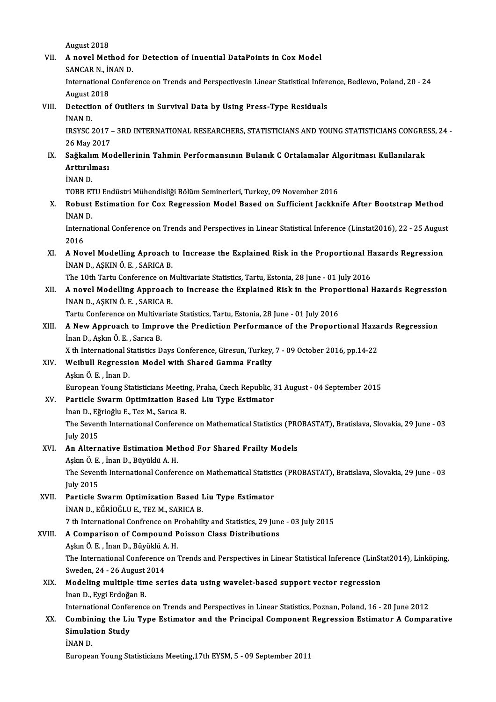August 2018

August 2018<br>VII. 9 A novel Method for Detection of Inuential DataPoints in Cox Model<br>SANGAR N. INAN D August 2018<br>A novel Method fo<br>SANCAR N., İNAN D.<br>International Confor

A novel Method for Detection of Inuential DataPoints in Cox Model<br>SANCAR N., İNAN D.<br>International Conference on Trends and Perspectivesin Linear Statistical Inference, Bedlewo, Poland, 20 - 24<br>August 2018 SANCAR N., İN<br>International<br>August 2018<br>Detection of International Conference on Trends and Perspectivesin Linear Statistical Infer-<br>August 2018<br>VIII. Detection of Outliers in Survival Data by Using Press-Type Residuals<br>INAN D

August 2<br>Detectie<br>İNAN D.<br>IPSYSC 2

Detection of Outliers in Survival Data by Using Press-Type Residuals<br>İNAN D.<br>IRSYSC 2017 – 3RD INTERNATIONAL RESEARCHERS, STATISTICIANS AND YOUNG STATISTICIANS CONGRESS, 24 -<br>26 May 2017 İNAN D.<br>IRSYSC 2017 -<br>26 May 2017<br>Sağltalım Ma IRSYSC 2017 – 3RD INTERNATIONAL RESEARCHERS, STATISTICIANS AND YOUNG STATISTICIANS CONGRE<br>26 May 2017<br>IX. Sağkalım Modellerinin Tahmin Performansının Bulanık C Ortalamalar Algoritması Kullanılarak<br>Arttırılması

## 26 May 2017<br><mark>Sağkalım Mo</mark><br>Arttırılması<br>İNAN D Sağkalı<mark>ı</mark><br>Arttırılı<br>İNAN D.<br>TOPP F1 A<mark>rttırılması</mark><br>İNAN D.<br>TOBB ETU Endüstri Mühendisliği Bölüm Seminerleri, Turkey, 09 November 2016

# İNAN D.<br>TOBB ETU Endüstri Mühendisliği Bölüm Seminerleri, Turkey, 09 November 2016<br>X. Robust Estimation for Cox Regression Model Based on Sufficient Jackknife After Bootstrap Method<br>İNAN D. TOBB ET<br>Robust<br>İNAN D.<br>Internet Robust Estimation for Cox Regression Model Based on Sufficient Jackknife After Bootstrap Method<br>INAN D.<br>International Conference on Trends and Perspectives in Linear Statistical Inference (Linstat2016), 22 - 25 August<br>2016

İNAN D.<br>International Conference on Trends and Perspectives in Linear Statistical Inference (Linstat2016), 22 - 25 August<br>2016 International Conference on Trends and Perspectives in Linear Statistical Inference (Linstat2016), 22 - 25 Augus<br>2016<br>XI. A Novel Modelling Aproach to Increase the Explained Risk in the Proportional Hazards Regression<br>INAN

2016<br>A Novel Modelling Aproach<br>İNAN D., AŞKIN Ö.E. , SARICA B.<br>The 10th Terty Conference on N A Novel Modelling Aproach to Increase the Explained Risk in the Proportional H<br>INAN D., AŞKIN Ö. E. , SARICA B.<br>The 10th Tartu Conference on Multivariate Statistics, Tartu, Estonia, 28 June - 01 July 2016<br>A novel Modelling

INAN D., AŞKIN Ö. E. , SARICA B.<br>The 10th Tartu Conference on Multivariate Statistics, Tartu, Estonia, 28 June - 01 July 2016<br>XII. A novel Modelling Approach to Increase the Explained Risk in the Proportional Hazards R The 10th Tartu Conference on M<br>**A novel Modelling Approach**<br>İNAN D., AŞKIN Ö. E. , SARICA B.<br>Tartu Conference on Multivariat

Tartu Conference on Multivariate Statistics, Tartu, Estonia, 28 June - 01 July 2016

# INAN D., AŞKIN Ö. E. , SARICA B.<br>Tartu Conference on Multivariate Statistics, Tartu, Estonia, 28 June - 01 July 2016<br>XIII. A New Approach to Improve the Prediction Performance of the Proportional Hazards Regression<br>Inan D. İnanD.,AşkınÖ.E. ,SarıcaB. A New Approach to Improve the Prediction Performance of the Proportional Haza<br>Inan D., Aşkın Ö. E. , Sarıca B.<br>X th International Statistics Days Conference, Giresun, Turkey, 7 - 09 October 2016, pp.14-22<br>Weihull Begressio

X th International Statistics Days Conference, Giresun, Turkey, 7 - 09 October 2016, pp.14-22

## XIV. Weibull Regression Model with Shared Gamma Frailty<br>Aşkın Ö. E., İnan D.

Weibull Regression Model with Shared Gamma Frailty<br>Aşkın Ö. E. , İnan D.<br>European Young Statisticians Meeting, Praha, Czech Republic, 31 August - 04 September 2015<br>Perticle Swarm Ontimination Bosed Liu Tune Estimator European Young Statisticians Meetin<br>Particle Swarm Optimization Ba:<br>İnan D., Eğrioğlu E., Tez M., Sarıca B.<br>The Seventh International Conferen

XV. Particle Swarm Optimization Based Liu Type Estimator<br>İnan D., Eğrioğlu E., Tez M., Sarıca B.

Particle Swarm Optimization Based Liu Type Estimator<br>İnan D., Eğrioğlu E., Tez M., Sarıca B.<br>The Seventh International Conference on Mathematical Statistics (PROBASTAT), Bratislava, Slovakia, 29 June - 03<br>Iuly 2015 inan D., Eğ<br>The Seven<br>July 2015<br>An Altann July 2015<br>**An Alternative Estimation Met**<br>Aşkın Ö. E. , İnan D., Büyüklü A. H.<br>The Seventh International Cenfer

## July 2015<br>XVI. An Alternative Estimation Method For Shared Frailty Models

The Seventh International Conference on Mathematical Statistics (PROBASTAT), Bratislava, Slovakia, 29 June - 03<br>July 2015 Aşkın Ö. E.<br>The Seven<br>July 2015<br>Particle S The Seventh International Conference on Mathematical Statisti<br>
July 2015<br>
XVII. Particle Swarm Optimization Based Liu Type Estimator<br>
INAND EČPIOČLUE TEZM SAPICA P

July 2015<br>Particle Swarm Optimization Based I<br>İNAN D., EĞRİOĞLU E., TEZ M., SARICA B.<br>7 th International Confrence en Probebil iNAN D., EĞRİOĞLU E., TEZ M., SARICA B.<br>7 th International Confrence on Probabilty and Statistics, 29 June - 03 July 2015 INAN D., EĞRİOĞLU E., TEZ M., SARICA B.<br>7 th International Confrence on Probabilty and Statistics, 29 June<br>XVIII. **A Comparison of Compound Poisson Class Distributions** 

7 th International Confrence on P.<br>A Comparison of Compound P<br>Aşkın Ö. E. , İnan D., Büyüklü A. H.<br>The International Conference on I

Aşkın Ö. E. , İnan D., Büyüklü A. H.<br>The International Conference on Trends and Perspectives in Linear Statistical Inference (LinStat2014), Linköping, Aşkın Ö. E. , İnan D., Büyüklü A<br>The International Conference<br>Sweden, 24 - 26 August 2014<br>Medeling multiple time sen

## XIX. Modeling multiple time series data using wavelet-based support vector regression<br>Inan D., Eygi Erdoğan B. Sweden, 24 - 26 August<br>Modeling multiple tim<br>İnan D., Eygi Erdoğan B.<br>International Cenferens Modeling multiple time series data using wavelet-based support vector regression<br>Inan D., Eygi Erdoğan B.<br>International Conference on Trends and Perspectives in Linear Statistics, Poznan, Poland, 16 - 20 June 2012<br>Combinin

## İnan D., Eygi Erdoğan B.<br>International Conference on Trends and Perspectives in Linear Statistics, Poznan, Poland, 16 - 20 June 2012<br>XX. Combining the Liu Type Estimator and the Principal Component Regression Estimator International Confer<br>Combining the Live<br>Simulation Study<br>INAN D Combin<br>Simulat<br>İNAN D.<br>Europes Simulation Study<br>|<br>European Young Statisticians Meeting,17th EYSM, 5 - 09 September 2011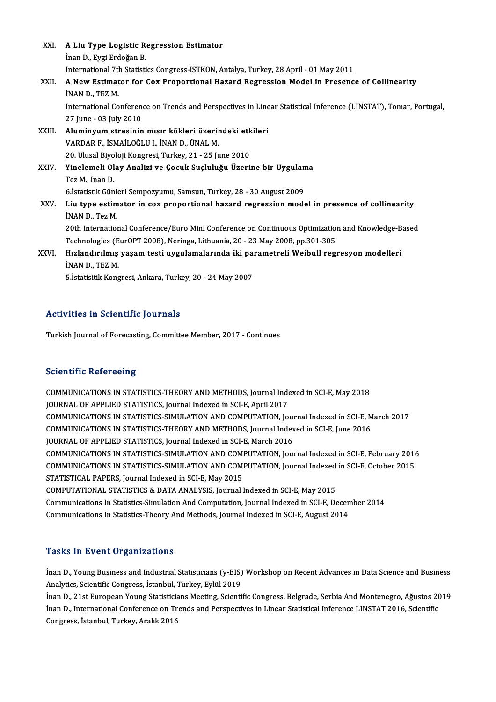| XXI.        | A Liu Type Logistic Regression Estimator                                                                        |
|-------------|-----------------------------------------------------------------------------------------------------------------|
|             | Inan D., Eygi Erdoğan B.                                                                                        |
|             | International 7th Statistics Congress-ISTKON, Antalya, Turkey, 28 April - 01 May 2011                           |
| XXII.       | A New Estimator for Cox Proportional Hazard Regression Model in Presence of Collinearity                        |
|             | INAN D., TEZ M.                                                                                                 |
|             | International Conference on Trends and Perspectives in Linear Statistical Inference (LINSTAT), Tomar, Portugal, |
|             | 27 June - 03 July 2010                                                                                          |
| XXIII.      | Aluminyum stresinin mısır kökleri üzerindeki etkileri                                                           |
|             | VARDAR F., İSMAİLOĞLU I., İNAN D., ÜNAL M.                                                                      |
|             | 20. Ulusal Biyoloji Kongresi, Turkey, 21 - 25 June 2010                                                         |
| <b>XXIV</b> | Yinelemeli Olay Analizi ve Çocuk Suçluluğu Üzerine bir Uygulama                                                 |
|             | Tez M, İnan D.                                                                                                  |
|             | 6. İstatistik Günleri Sempozyumu, Samsun, Turkey, 28 - 30 August 2009                                           |
| XXV.        | Liu type estimator in cox proportional hazard regression model in presence of collinearity                      |
|             | INAN D., Tez M.                                                                                                 |
|             | 20th International Conference/Euro Mini Conference on Continuous Optimization and Knowledge-Based               |
|             | Technologies (EurOPT 2008), Neringa, Lithuania, 20 - 23 May 2008, pp.301-305                                    |
| XXVI.       | Hızlandırılmış yaşam testi uygulamalarında iki parametreli Weibull regresyon modelleri                          |
|             | INAN D., TEZ M.                                                                                                 |
|             | 5. İstatisitik Kongresi, Ankara, Turkey, 20 - 24 May 2007                                                       |
|             |                                                                                                                 |

## Activities in Scientific Journals

Turkish Journal of Forecasting, Committee Member, 2017 - Continues

## **Scientific Refereeing**

COMMUNICATIONS IN STATISTICS-THEORY AND METHODS, Journal Indexed in SCI-E, May 2018 JOURNAL OF APPLIED STATISTICS, Journal Indexed in SCI-E, April 2017 COMMUNICATIONS IN STATISTICS-THEORY AND METHODS, Journal Indexed in SCI-E, May 2018<br>JOURNAL OF APPLIED STATISTICS, Journal Indexed in SCI-E, April 2017<br>COMMUNICATIONS IN STATISTICS-SIMULATION AND COMPUTATION, Journal Index JOURNAL OF APPLIED STATISTICS, Journal Indexed in SCI-E, April 2017<br>COMMUNICATIONS IN STATISTICS-SIMULATION AND COMPUTATION, Journal Indexed in SCI-E, M<br>COMMUNICATIONS IN STATISTICS-THEORY AND METHODS, Journal Indexed in S COMMUNICATIONS IN STATISTICS-SIMULATION AND COMPUTATION, Journal Index<br>COMMUNICATIONS IN STATISTICS-THEORY AND METHODS, Journal Index<br>JOURNAL OF APPLIED STATISTICS, Journal Indexed in SCI-E, March 2016<br>COMMUNICATIONS IN ST COMMUNICATIONS IN STATISTICS-THEORY AND METHODS, Journal Indexed in SCI-E, June 2016<br>JOURNAL OF APPLIED STATISTICS, Journal Indexed in SCI-E, March 2016<br>COMMUNICATIONS IN STATISTICS-SIMULATION AND COMPUTATION, Journal Inde JOURNAL OF APPLIED STATISTICS, Journal Indexed in SCI-E, March 2016<br>COMMUNICATIONS IN STATISTICS-SIMULATION AND COMPUTATION, Journal Indexed in SCI-E, February 2016<br>COMMUNICATIONS IN STATISTICS-SIMULATION AND COMPUTATION, STATISTICAL PAPERS, Journal Indexed in SCI-E, May 2015<br>COMPUTATIONAL STATISTICS & DATA ANALYSIS, Journal Indexed in SCI-E, May 2015 COMMUNICATIONS IN STATISTICS-SIMULATION AND COMPUTATION, Journal Indexed in SCI-E, October 2015 Communications In Statistics-Simulation And Computation, Journal Indexed in SCI-E, December 2014 Communications In Statistics-Theory And Methods, Journal Indexed in SCI-E, August 2014

## **Tasks In Event Organizations**

Tasks In Event Organizations<br>İnan D., Young Business and Industrial Statisticians (y-BIS) Workshop on Recent Advances in Data Science and Business<br>Analytics Scientific Congress, İstanbul Turkey, Erlül 2019 Analytics, Analytics, Scientific Congress, İstanbul, Turkey, Eylül 2019<br>Analytics, Scientific Congress, İstanbul, Turkey, Eylül 2019<br>İnan D., 21st European Young Statisticione Meeting, Scienti İnan D., Young Business and Industrial Statisticians (y-BIS) Workshop on Recent Advances in Data Science and Business<br>Analytics, Scientific Congress, İstanbul, Turkey, Eylül 2019<br>İnan D., 21st European Young Statisticians

Analytics, Scientific Congress, İstanbul, Turkey, Eylül 2019<br>İnan D., 21st European Young Statisticians Meeting, Scientific Congress, Belgrade, Serbia And Montenegro, Ağustos 20<br>İnan D., International Conference on Trends İnan D., 21st European Young Statisticia<br>İnan D., International Conference on Tr<br>Congress, İstanbul, Turkey, Aralık 2016